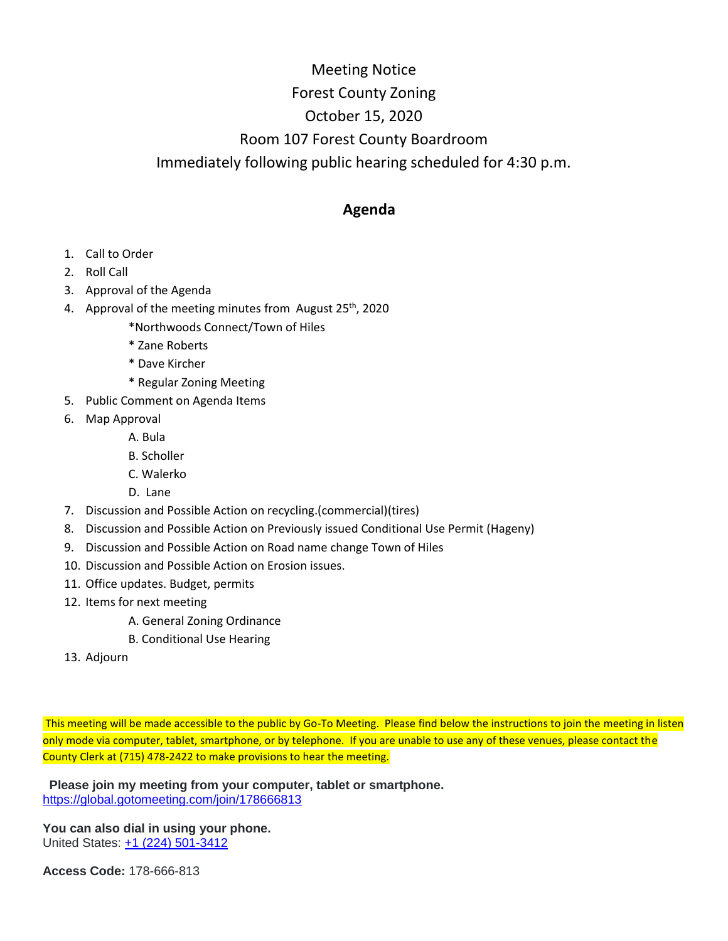## Meeting Notice Forest County Zoning October 15, 2020 Room 107 Forest County Boardroom Immediately following public hearing scheduled for 4:30 p.m.

## **Agenda**

- 1. Call to Order
- 2. Roll Call
- 3. Approval of the Agenda
- 4. Approval of the meeting minutes from August  $25<sup>th</sup>$ , 2020
	- \*Northwoods Connect/Town of Hiles
	- \* Zane Roberts
	- \* Dave Kircher
	- \* Regular Zoning Meeting
- 5. Public Comment on Agenda Items
- 6. Map Approval
	- A. Bula
	- B. Scholler
	- C. Walerko
	- D. Lane
- 7. Discussion and Possible Action on recycling.(commercial)(tires)
- 8. Discussion and Possible Action on Previously issued Conditional Use Permit (Hageny)
- 9. Discussion and Possible Action on Road name change Town of Hiles
- 10. Discussion and Possible Action on Erosion issues.
- 11. Office updates. Budget, permits
- 12. Items for next meeting
	- A. General Zoning Ordinance
	- B. Conditional Use Hearing
- 13. Adjourn

This meeting will be made accessible to the public by Go-To Meeting. Please find below the instructions to join the meeting in listen only mode via computer, tablet, smartphone, or by telephone. If you are unable to use any of these venues, please contact the County Clerk at (715) 478-2422 to make provisions to hear the meeting.

 **Please join my meeting from your computer, tablet or smartphone.** <https://global.gotomeeting.com/join/178666813>

**You can also dial in using your phone.** United States: [+1 \(224\) 501-3412](tel:+12245013412,,178666813)

**Access Code:** 178-666-813